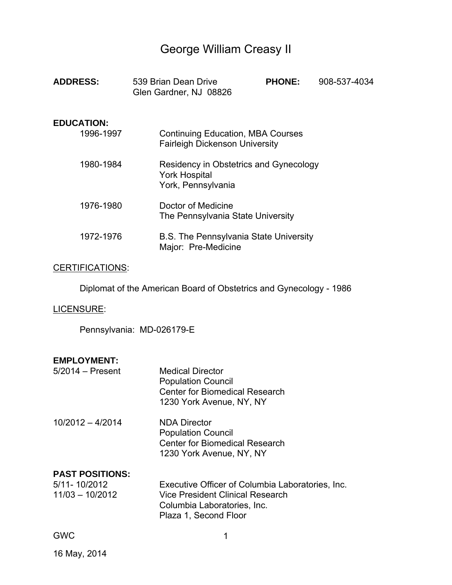# George William Creasy II

| <b>ADDRESS:</b>                | 539 Brian Dean Drive<br>Glen Gardner, NJ 08826                                       | <b>PHONE:</b> | 908-537-4034 |
|--------------------------------|--------------------------------------------------------------------------------------|---------------|--------------|
| <b>EDUCATION:</b><br>1996-1997 | <b>Continuing Education, MBA Courses</b><br><b>Fairleigh Dickenson University</b>    |               |              |
| 1980-1984                      | Residency in Obstetrics and Gynecology<br><b>York Hospital</b><br>York, Pennsylvania |               |              |
| 1976-1980                      | Doctor of Medicine<br>The Pennsylvania State University                              |               |              |
| 1972-1976                      | <b>B.S. The Pennsylvania State University</b><br>Major: Pre-Medicine                 |               |              |
| <b>CERTIFICATIONS:</b>         |                                                                                      |               |              |
|                                | Diplomat of the American Board of Obstetrics and Gynecology - 1986                   |               |              |
| LICENSURE:                     |                                                                                      |               |              |

Pennsylvania: MD-026179-E

# **EMPLOYMENT:**

| $5/2014$ - Present | <b>Medical Director</b><br><b>Population Council</b><br><b>Center for Biomedical Research</b><br>1230 York Avenue, NY, NY |
|--------------------|---------------------------------------------------------------------------------------------------------------------------|
| $10/2012 - 4/2014$ | <b>NDA Director</b><br><b>Population Council</b><br><b>Center for Biomedical Research</b><br>1230 York Avenue, NY, NY     |

# **PAST POSITIONS:**

| 5/11-10/2012    | Executive Officer of Columbia Laboratories, Inc. |
|-----------------|--------------------------------------------------|
| 11/03 - 10/2012 | Vice President Clinical Research                 |
|                 | Columbia Laboratories, Inc.                      |
|                 | Plaza 1, Second Floor                            |
|                 |                                                  |

GWC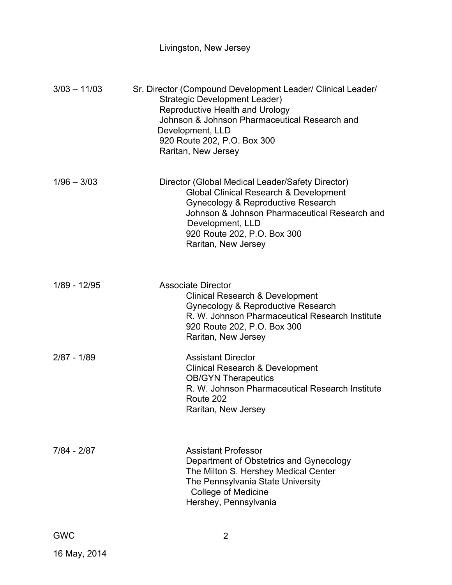# Livingston, New Jersey

| $3/03 - 11/03$ | Sr. Director (Compound Development Leader/ Clinical Leader/<br>Strategic Development Leader)<br><b>Reproductive Health and Urology</b><br>Johnson & Johnson Pharmaceutical Research and<br>Development, LLD<br>920 Route 202, P.O. Box 300<br>Raritan, New Jersey      |
|----------------|------------------------------------------------------------------------------------------------------------------------------------------------------------------------------------------------------------------------------------------------------------------------|
| $1/96 - 3/03$  | Director (Global Medical Leader/Safety Director)<br><b>Global Clinical Research &amp; Development</b><br>Gynecology & Reproductive Research<br>Johnson & Johnson Pharmaceutical Research and<br>Development, LLD<br>920 Route 202, P.O. Box 300<br>Raritan, New Jersey |
| 1/89 - 12/95   | <b>Associate Director</b><br><b>Clinical Research &amp; Development</b><br>Gynecology & Reproductive Research<br>R. W. Johnson Pharmaceutical Research Institute<br>920 Route 202, P.O. Box 300<br>Raritan, New Jersey                                                 |
| $2/87 - 1/89$  | <b>Assistant Director</b><br><b>Clinical Research &amp; Development</b><br><b>OB/GYN Therapeutics</b><br>R. W. Johnson Pharmaceutical Research Institute<br>Route 202<br>Raritan, New Jersey                                                                           |
| 7/84 - 2/87    | <b>Assistant Professor</b><br>Department of Obstetrics and Gynecology<br>The Milton S. Hershey Medical Center<br>The Pennsylvania State University<br><b>College of Medicine</b><br>Hershey, Pennsylvania                                                              |
| <b>GWC</b>     | 2                                                                                                                                                                                                                                                                      |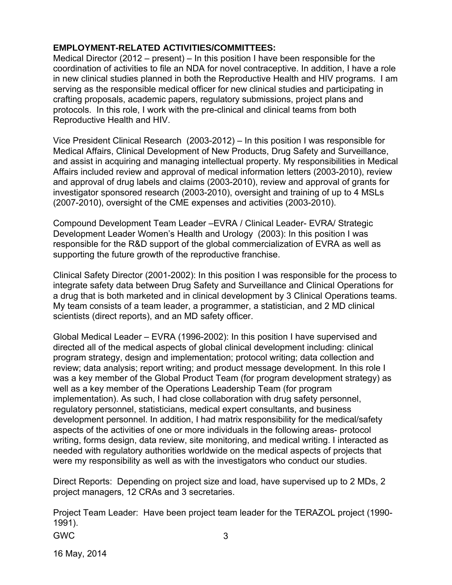#### **EMPLOYMENT-RELATED ACTIVITIES/COMMITTEES:**

Medical Director (2012 – present) – In this position I have been responsible for the coordination of activities to file an NDA for novel contraceptive. In addition, I have a role in new clinical studies planned in both the Reproductive Health and HIV programs. I am serving as the responsible medical officer for new clinical studies and participating in crafting proposals, academic papers, regulatory submissions, project plans and protocols. In this role, I work with the pre-clinical and clinical teams from both Reproductive Health and HIV.

Vice President Clinical Research (2003-2012) – In this position I was responsible for Medical Affairs, Clinical Development of New Products, Drug Safety and Surveillance, and assist in acquiring and managing intellectual property. My responsibilities in Medical Affairs included review and approval of medical information letters (2003-2010), review and approval of drug labels and claims (2003-2010), review and approval of grants for investigator sponsored research (2003-2010), oversight and training of up to 4 MSLs (2007-2010), oversight of the CME expenses and activities (2003-2010).

Compound Development Team Leader –EVRA / Clinical Leader- EVRA/ Strategic Development Leader Women's Health and Urology (2003): In this position I was responsible for the R&D support of the global commercialization of EVRA as well as supporting the future growth of the reproductive franchise.

Clinical Safety Director (2001-2002): In this position I was responsible for the process to integrate safety data between Drug Safety and Surveillance and Clinical Operations for a drug that is both marketed and in clinical development by 3 Clinical Operations teams. My team consists of a team leader, a programmer, a statistician, and 2 MD clinical scientists (direct reports), and an MD safety officer.

Global Medical Leader – EVRA (1996-2002): In this position I have supervised and directed all of the medical aspects of global clinical development including: clinical program strategy, design and implementation; protocol writing; data collection and review; data analysis; report writing; and product message development. In this role I was a key member of the Global Product Team (for program development strategy) as well as a key member of the Operations Leadership Team (for program implementation). As such, I had close collaboration with drug safety personnel, regulatory personnel, statisticians, medical expert consultants, and business development personnel. In addition, I had matrix responsibility for the medical/safety aspects of the activities of one or more individuals in the following areas- protocol writing, forms design, data review, site monitoring, and medical writing. I interacted as needed with regulatory authorities worldwide on the medical aspects of projects that were my responsibility as well as with the investigators who conduct our studies.

Direct Reports: Depending on project size and load, have supervised up to 2 MDs, 2 project managers, 12 CRAs and 3 secretaries.

Project Team Leader: Have been project team leader for the TERAZOL project (1990- 1991).

GWC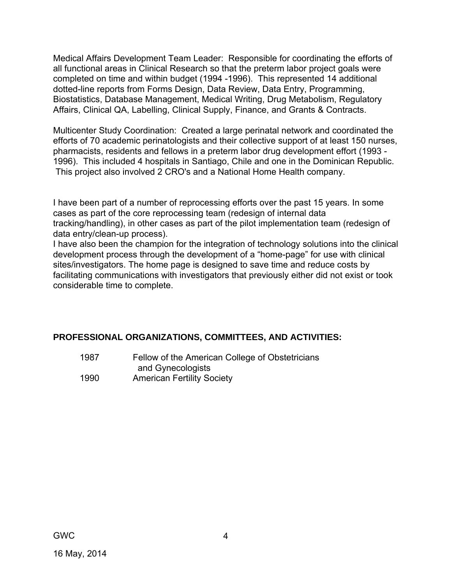Medical Affairs Development Team Leader: Responsible for coordinating the efforts of all functional areas in Clinical Research so that the preterm labor project goals were completed on time and within budget (1994 -1996). This represented 14 additional dotted-line reports from Forms Design, Data Review, Data Entry, Programming, Biostatistics, Database Management, Medical Writing, Drug Metabolism, Regulatory Affairs, Clinical QA, Labelling, Clinical Supply, Finance, and Grants & Contracts.

Multicenter Study Coordination: Created a large perinatal network and coordinated the efforts of 70 academic perinatologists and their collective support of at least 150 nurses, pharmacists, residents and fellows in a preterm labor drug development effort (1993 - 1996). This included 4 hospitals in Santiago, Chile and one in the Dominican Republic. This project also involved 2 CRO's and a National Home Health company.

I have been part of a number of reprocessing efforts over the past 15 years. In some cases as part of the core reprocessing team (redesign of internal data tracking/handling), in other cases as part of the pilot implementation team (redesign of data entry/clean-up process).

I have also been the champion for the integration of technology solutions into the clinical development process through the development of a "home-page" for use with clinical sites/investigators. The home page is designed to save time and reduce costs by facilitating communications with investigators that previously either did not exist or took considerable time to complete.

# **PROFESSIONAL ORGANIZATIONS, COMMITTEES, AND ACTIVITIES:**

 1987 Fellow of the American College of Obstetricians and Gynecologists 1990 American Fertility Society

GWC

16 May, 2014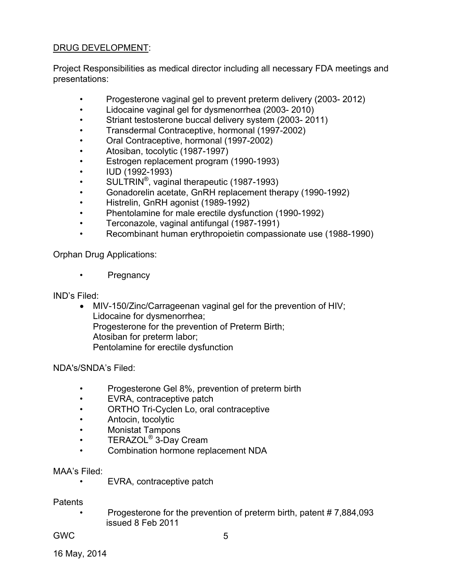# DRUG DEVELOPMENT:

Project Responsibilities as medical director including all necessary FDA meetings and presentations:

- Progesterone vaginal gel to prevent preterm delivery (2003- 2012)
- Lidocaine vaginal gel for dysmenorrhea (2003- 2010)
- Striant testosterone buccal delivery system (2003- 2011)
- Transdermal Contraceptive, hormonal (1997-2002)
- Oral Contraceptive, hormonal (1997-2002)
- Atosiban, tocolytic (1987-1997)
- Estrogen replacement program (1990-1993)
- IUD (1992-1993)
- SULTRIN®, vaginal therapeutic (1987-1993)
- Gonadorelin acetate, GnRH replacement therapy (1990-1992)
- Histrelin, GnRH agonist (1989-1992)
- Phentolamine for male erectile dysfunction (1990-1992)
- Terconazole, vaginal antifungal (1987-1991)
- Recombinant human erythropoietin compassionate use (1988-1990)

Orphan Drug Applications:

• Pregnancy

IND's Filed:

 MIV-150/Zinc/Carrageenan vaginal gel for the prevention of HIV; Lidocaine for dysmenorrhea; Progesterone for the prevention of Preterm Birth; Atosiban for preterm labor; Pentolamine for erectile dysfunction

NDA's/SNDA's Filed:

- Progesterone Gel 8%, prevention of preterm birth
- EVRA, contraceptive patch
- ORTHO Tri-Cyclen Lo, oral contraceptive
- Antocin, tocolytic
- Monistat Tampons
- TERAZOL<sup>®</sup> 3-Day Cream
- Combination hormone replacement NDA

MAA's Filed:

• EVRA, contraceptive patch

**Patents** 

 • Progesterone for the prevention of preterm birth, patent # 7,884,093 issued 8 Feb 2011

GWC

16 May, 2014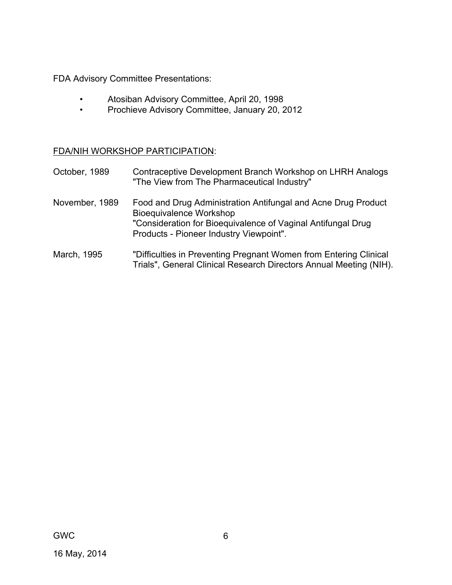FDA Advisory Committee Presentations:

- Atosiban Advisory Committee, April 20, 1998
- Prochieve Advisory Committee, January 20, 2012

FDA/NIH WORKSHOP PARTICIPATION:

| October, 1989  | Contraceptive Development Branch Workshop on LHRH Analogs<br>"The View from The Pharmaceutical Industry"                                                                                                   |
|----------------|------------------------------------------------------------------------------------------------------------------------------------------------------------------------------------------------------------|
| November, 1989 | Food and Drug Administration Antifungal and Acne Drug Product<br><b>Bioequivalence Workshop</b><br>"Consideration for Bioequivalence of Vaginal Antifungal Drug<br>Products - Pioneer Industry Viewpoint". |
|                |                                                                                                                                                                                                            |

March, 1995 "Difficulties in Preventing Pregnant Women from Entering Clinical Trials", General Clinical Research Directors Annual Meeting (NIH).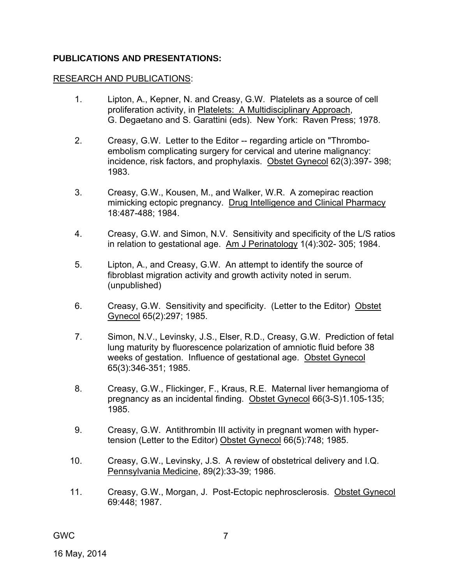#### **PUBLICATIONS AND PRESENTATIONS:**

#### RESEARCH AND PUBLICATIONS:

- 1. Lipton, A., Kepner, N. and Creasy, G.W. Platelets as a source of cell proliferation activity, in Platelets: A Multidisciplinary Approach, G. Degaetano and S. Garattini (eds). New York: Raven Press; 1978.
- 2. Creasy, G.W. Letter to the Editor -- regarding article on "Thromboembolism complicating surgery for cervical and uterine malignancy: incidence, risk factors, and prophylaxis. Obstet Gynecol 62(3):397- 398; 1983.
- 3. Creasy, G.W., Kousen, M., and Walker, W.R. A zomepirac reaction mimicking ectopic pregnancy. Drug Intelligence and Clinical Pharmacy 18:487-488; 1984.
- 4. Creasy, G.W. and Simon, N.V. Sensitivity and specificity of the L/S ratios in relation to gestational age. Am J Perinatology 1(4):302- 305; 1984.
- 5. Lipton, A., and Creasy, G.W. An attempt to identify the source of fibroblast migration activity and growth activity noted in serum. (unpublished)
- 6. Creasy, G.W. Sensitivity and specificity. (Letter to the Editor) Obstet Gynecol 65(2):297; 1985.
- 7. Simon, N.V., Levinsky, J.S., Elser, R.D., Creasy, G.W. Prediction of fetal lung maturity by fluorescence polarization of amniotic fluid before 38 weeks of gestation. Influence of gestational age. Obstet Gynecol 65(3):346-351; 1985.
- 8. Creasy, G.W., Flickinger, F., Kraus, R.E. Maternal liver hemangioma of pregnancy as an incidental finding. Obstet Gynecol 66(3-S)1.105-135; 1985.
- 9. Creasy, G.W. Antithrombin III activity in pregnant women with hypertension (Letter to the Editor) Obstet Gynecol 66(5):748; 1985.
- 10. Creasy, G.W., Levinsky, J.S. A review of obstetrical delivery and I.Q. Pennsylvania Medicine, 89(2):33-39; 1986.
- 11. Creasy, G.W., Morgan, J. Post-Ectopic nephrosclerosis. Obstet Gynecol 69:448; 1987.

GWC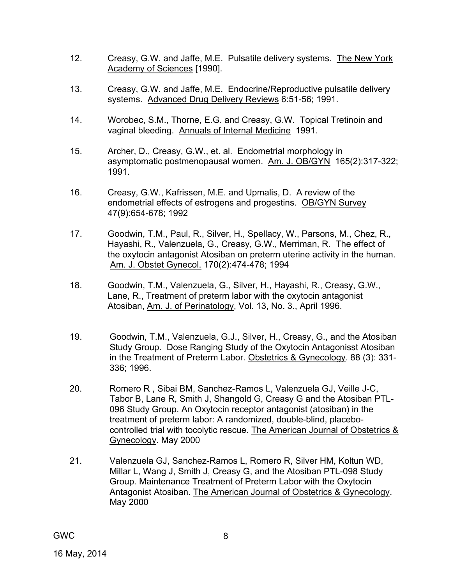- 12. Creasy, G.W. and Jaffe, M.E. Pulsatile delivery systems. The New York Academy of Sciences [1990].
- 13. Creasy, G.W. and Jaffe, M.E. Endocrine/Reproductive pulsatile delivery systems. Advanced Drug Delivery Reviews 6:51-56; 1991.
- 14. Worobec, S.M., Thorne, E.G. and Creasy, G.W. Topical Tretinoin and vaginal bleeding. Annuals of Internal Medicine 1991.
- 15. Archer, D., Creasy, G.W., et. al. Endometrial morphology in asymptomatic postmenopausal women. Am. J. OB/GYN 165(2):317-322; 1991.
- 16. Creasy, G.W., Kafrissen, M.E. and Upmalis, D. A review of the endometrial effects of estrogens and progestins. OB/GYN Survey 47(9):654-678; 1992
- 17. Goodwin, T.M., Paul, R., Silver, H., Spellacy, W., Parsons, M., Chez, R., Hayashi, R., Valenzuela, G., Creasy, G.W., Merriman, R. The effect of the oxytocin antagonist Atosiban on preterm uterine activity in the human. Am. J. Obstet Gynecol. 170(2):474-478; 1994
- 18. Goodwin, T.M., Valenzuela, G., Silver, H., Hayashi, R., Creasy, G.W., Lane, R., Treatment of preterm labor with the oxytocin antagonist Atosiban, Am. J. of Perinatology, Vol. 13, No. 3., April 1996.
- 19. Goodwin, T.M., Valenzuela, G.J., Silver, H., Creasy, G., and the Atosiban Study Group. Dose Ranging Study of the Oxytocin Antagonisst Atosiban in the Treatment of Preterm Labor. Obstetrics & Gynecology. 88 (3): 331- 336; 1996.
- 20. Romero R , Sibai BM, Sanchez-Ramos L, Valenzuela GJ, Veille J-C, Tabor B, Lane R, Smith J, Shangold G, Creasy G and the Atosiban PTL-096 Study Group. An Oxytocin receptor antagonist (atosiban) in the treatment of preterm labor: A randomized, double-blind, placebocontrolled trial with tocolytic rescue. The American Journal of Obstetrics & Gynecology. May 2000
- 21. Valenzuela GJ, Sanchez-Ramos L, Romero R, Silver HM, Koltun WD, Millar L, Wang J, Smith J, Creasy G, and the Atosiban PTL-098 Study Group. Maintenance Treatment of Preterm Labor with the Oxytocin Antagonist Atosiban. The American Journal of Obstetrics & Gynecology. May 2000

8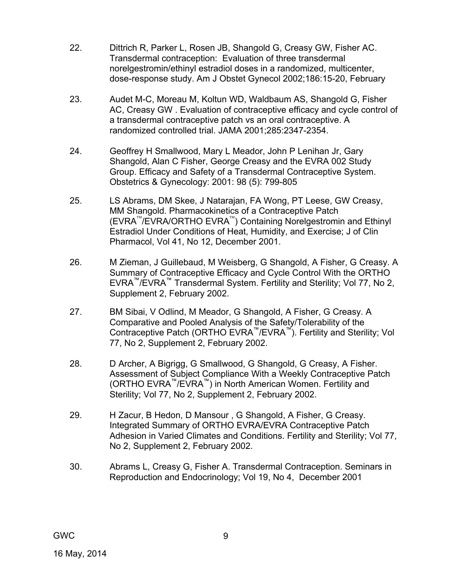- 22. Dittrich R, Parker L, Rosen JB, Shangold G, Creasy GW, Fisher AC. Transdermal contraception: Evaluation of three transdermal norelgestromin/ethinyl estradiol doses in a randomized, multicenter, dose-response study. Am J Obstet Gynecol 2002;186:15-20, February
- 23. Audet M-C, Moreau M, Koltun WD, Waldbaum AS, Shangold G, Fisher AC, Creasy GW . Evaluation of contraceptive efficacy and cycle control of a transdermal contraceptive patch vs an oral contraceptive. A randomized controlled trial. JAMA 2001;285:2347-2354.
- 24. Geoffrey H Smallwood, Mary L Meador, John P Lenihan Jr, Gary Shangold, Alan C Fisher, George Creasy and the EVRA 002 Study Group. Efficacy and Safety of a Transdermal Contraceptive System. Obstetrics & Gynecology: 2001: 98 (5): 799-805
- 25. LS Abrams, DM Skee, J Natarajan, FA Wong, PT Leese, GW Creasy, MM Shangold. Pharmacokinetics of a Contraceptive Patch  $(EVRA^{\mathcal{M}}/EVRA/ORTHO EVRA^{\mathcal{M}})$  Containing Norelgestromin and Ethinyl Estradiol Under Conditions of Heat, Humidity, and Exercise; J of Clin Pharmacol, Vol 41, No 12, December 2001.
- 26. M Zieman, J Guillebaud, M Weisberg, G Shangold, A Fisher, G Creasy. A Summary of Contraceptive Efficacy and Cycle Control With the ORTHO EVRA™/EVRA™ Transdermal System. Fertility and Sterility; Vol 77, No 2, Supplement 2, February 2002.
- 27. BM Sibai, V Odlind, M Meador, G Shangold, A Fisher, G Creasy. A Comparative and Pooled Analysis of the Safety/Tolerability of the Contraceptive Patch (ORTHO EVRA™/EVRA™). Fertility and Sterility; Vol 77, No 2, Supplement 2, February 2002.
- 28. D Archer, A Bigrigg, G Smallwood, G Shangold, G Creasy, A Fisher. Assessment of Subject Compliance With a Weekly Contraceptive Patch (ORTHO EVRA™/EVRA™) in North American Women. Fertility and Sterility; Vol 77, No 2, Supplement 2, February 2002.
- 29. H Zacur, B Hedon, D Mansour , G Shangold, A Fisher, G Creasy. Integrated Summary of ORTHO EVRA/EVRA Contraceptive Patch Adhesion in Varied Climates and Conditions. Fertility and Sterility; Vol 77, No 2, Supplement 2, February 2002.
- 30. Abrams L, Creasy G, Fisher A. Transdermal Contraception. Seminars in Reproduction and Endocrinology; Vol 19, No 4, December 2001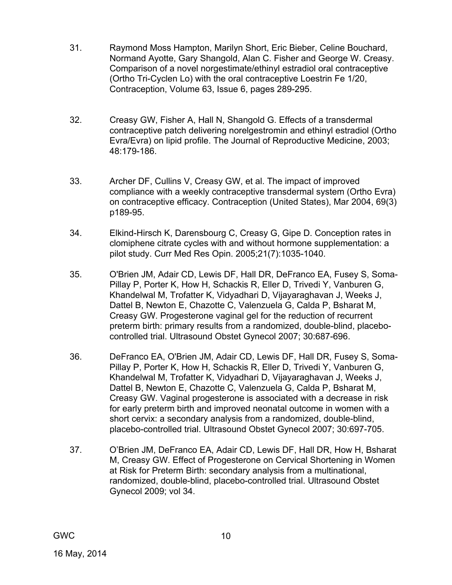- 31. Raymond Moss Hampton, Marilyn Short, Eric Bieber, Celine Bouchard, Normand Ayotte, Gary Shangold, Alan C. Fisher and George W. Creasy. Comparison of a novel norgestimate/ethinyl estradiol oral contraceptive (Ortho Tri-Cyclen Lo) with the oral contraceptive Loestrin Fe 1/20, Contraception, Volume 63, Issue 6, pages 289-295.
- 32. Creasy GW, Fisher A, Hall N, Shangold G. Effects of a transdermal contraceptive patch delivering norelgestromin and ethinyl estradiol (Ortho Evra/Evra) on lipid profile. The Journal of Reproductive Medicine, 2003; 48:179-186.
- 33. Archer DF, Cullins V, Creasy GW, et al. The impact of improved compliance with a weekly contraceptive transdermal system (Ortho Evra) on contraceptive efficacy. Contraception (United States), Mar 2004, 69(3) p189-95.
- 34. Elkind-Hirsch K, Darensbourg C, Creasy G, Gipe D. Conception rates in clomiphene citrate cycles with and without hormone supplementation: a pilot study. Curr Med Res Opin. 2005;21(7):1035-1040.
- 35. O'Brien JM, Adair CD, Lewis DF, Hall DR, DeFranco EA, Fusey S, Soma-Pillay P, Porter K, How H, Schackis R, Eller D, Trivedi Y, Vanburen G, Khandelwal M, Trofatter K, Vidyadhari D, Vijayaraghavan J, Weeks J, Dattel B, Newton E, Chazotte C, Valenzuela G, Calda P, Bsharat M, Creasy GW. Progesterone vaginal gel for the reduction of recurrent preterm birth: primary results from a randomized, double-blind, placebocontrolled trial. Ultrasound Obstet Gynecol 2007; 30:687-696.
- 36. DeFranco EA, O'Brien JM, Adair CD, Lewis DF, Hall DR, Fusey S, Soma-Pillay P, Porter K, How H, Schackis R, Eller D, Trivedi Y, Vanburen G, Khandelwal M, Trofatter K, Vidyadhari D, Vijayaraghavan J, Weeks J, Dattel B, Newton E, Chazotte C, Valenzuela G, Calda P, Bsharat M, Creasy GW. Vaginal progesterone is associated with a decrease in risk for early preterm birth and improved neonatal outcome in women with a short cervix: a secondary analysis from a randomized, double-blind, placebo-controlled trial. Ultrasound Obstet Gynecol 2007; 30:697-705.
- 37. O'Brien JM, DeFranco EA, Adair CD, Lewis DF, Hall DR, How H, Bsharat M, Creasy GW. Effect of Progesterone on Cervical Shortening in Women at Risk for Preterm Birth: secondary analysis from a multinational, randomized, double-blind, placebo-controlled trial. Ultrasound Obstet Gynecol 2009; vol 34.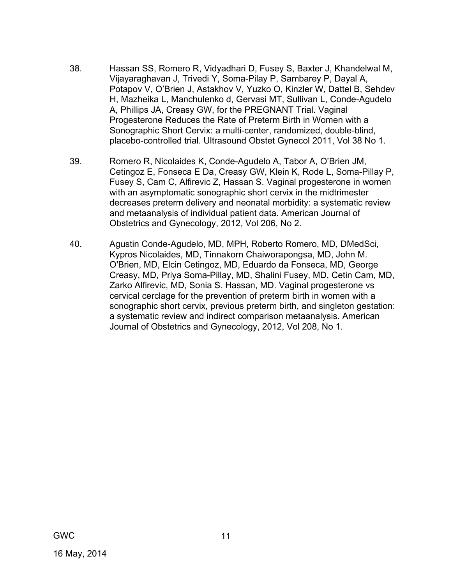- 38. Hassan SS, Romero R, Vidyadhari D, Fusey S, Baxter J, Khandelwal M, Vijayaraghavan J, Trivedi Y, Soma-Pilay P, Sambarey P, Dayal A, Potapov V, O'Brien J, Astakhov V, Yuzko O, Kinzler W, Dattel B, Sehdev H, Mazheika L, Manchulenko d, Gervasi MT, Sullivan L, Conde-Agudelo A, Phillips JA, Creasy GW, for the PREGNANT Trial. Vaginal Progesterone Reduces the Rate of Preterm Birth in Women with a Sonographic Short Cervix: a multi-center, randomized, double-blind, placebo-controlled trial. Ultrasound Obstet Gynecol 2011, Vol 38 No 1.
- 39. Romero R, Nicolaides K, Conde-Agudelo A, Tabor A, O'Brien JM, Cetingoz E, Fonseca E Da, Creasy GW, Klein K, Rode L, Soma-Pillay P, Fusey S, Cam C, Alfirevic Z, Hassan S. Vaginal progesterone in women with an asymptomatic sonographic short cervix in the midtrimester decreases preterm delivery and neonatal morbidity: a systematic review and metaanalysis of individual patient data. American Journal of Obstetrics and Gynecology, 2012, Vol 206, No 2.
- 40. Agustin Conde-Agudelo, MD, MPH, Roberto Romero, MD, DMedSci, Kypros Nicolaides, MD, Tinnakorn Chaiworapongsa, MD, John M. O'Brien, MD, Elcin Cetingoz, MD, Eduardo da Fonseca, MD, George Creasy, MD, Priya Soma-Pillay, MD, Shalini Fusey, MD, Cetin Cam, MD, Zarko Alfirevic, MD, Sonia S. Hassan, MD. Vaginal progesterone vs cervical cerclage for the prevention of preterm birth in women with a sonographic short cervix, previous preterm birth, and singleton gestation: a systematic review and indirect comparison metaanalysis. American Journal of Obstetrics and Gynecology, 2012, Vol 208, No 1.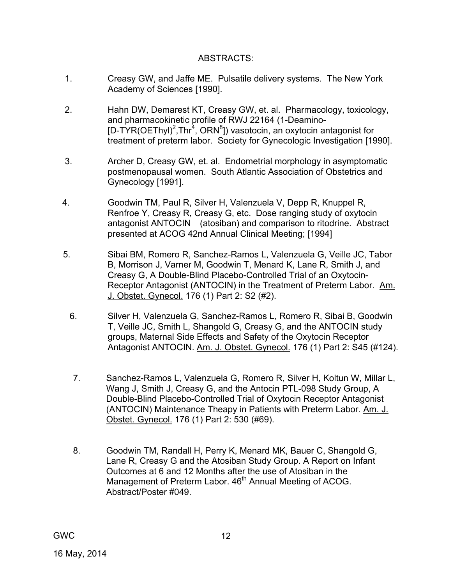#### ABSTRACTS:

- 1. Creasy GW, and Jaffe ME. Pulsatile delivery systems. The New York Academy of Sciences [1990].
- 2. Hahn DW, Demarest KT, Creasy GW, et. al. Pharmacology, toxicology, and pharmacokinetic profile of RWJ 22164 (1-Deamino- [D-TYR(OEThyl)<sup>2</sup>, Thr<sup>4</sup>, ORN<sup>8</sup>]) vasotocin, an oxytocin antagonist for treatment of preterm labor. Society for Gynecologic Investigation [1990].
- 3. Archer D, Creasy GW, et. al. Endometrial morphology in asymptomatic postmenopausal women. South Atlantic Association of Obstetrics and Gynecology [1991].
- 4. Goodwin TM, Paul R, Silver H, Valenzuela V, Depp R, Knuppel R, Renfroe Y, Creasy R, Creasy G, etc. Dose ranging study of oxytocin antagonist ANTOCIN (atosiban) and comparison to ritodrine. Abstract presented at ACOG 42nd Annual Clinical Meeting; [1994]
- 5. Sibai BM, Romero R, Sanchez-Ramos L, Valenzuela G, Veille JC, Tabor B, Morrison J, Varner M, Goodwin T, Menard K, Lane R, Smith J, and Creasy G, A Double-Blind Placebo-Controlled Trial of an Oxytocin-Receptor Antagonist (ANTOCIN) in the Treatment of Preterm Labor. Am. J. Obstet. Gynecol. 176 (1) Part 2: S2 (#2).
	- 6. Silver H, Valenzuela G, Sanchez-Ramos L, Romero R, Sibai B, Goodwin T, Veille JC, Smith L, Shangold G, Creasy G, and the ANTOCIN study groups, Maternal Side Effects and Safety of the Oxytocin Receptor Antagonist ANTOCIN. Am. J. Obstet. Gynecol. 176 (1) Part 2: S45 (#124).
	- 7. Sanchez-Ramos L, Valenzuela G, Romero R, Silver H, Koltun W, Millar L, Wang J, Smith J, Creasy G, and the Antocin PTL-098 Study Group, A Double-Blind Placebo-Controlled Trial of Oxytocin Receptor Antagonist (ANTOCIN) Maintenance Theapy in Patients with Preterm Labor. Am. J. Obstet. Gynecol. 176 (1) Part 2: 530 (#69).
	- 8. Goodwin TM, Randall H, Perry K, Menard MK, Bauer C, Shangold G, Lane R, Creasy G and the Atosiban Study Group. A Report on Infant Outcomes at 6 and 12 Months after the use of Atosiban in the Management of Preterm Labor. 46<sup>th</sup> Annual Meeting of ACOG. Abstract/Poster #049.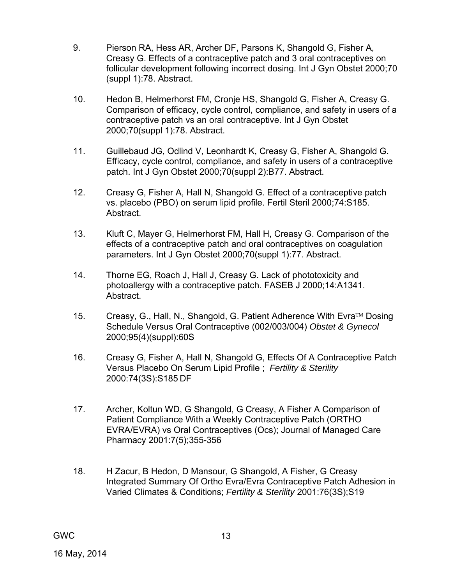- 9. Pierson RA, Hess AR, Archer DF, Parsons K, Shangold G, Fisher A, Creasy G. Effects of a contraceptive patch and 3 oral contraceptives on follicular development following incorrect dosing. Int J Gyn Obstet 2000;70 (suppl 1):78. Abstract.
- 10. Hedon B, Helmerhorst FM, Cronje HS, Shangold G, Fisher A, Creasy G. Comparison of efficacy, cycle control, compliance, and safety in users of a contraceptive patch vs an oral contraceptive. Int J Gyn Obstet 2000;70(suppl 1):78. Abstract.
- 11. Guillebaud JG, Odlind V, Leonhardt K, Creasy G, Fisher A, Shangold G. Efficacy, cycle control, compliance, and safety in users of a contraceptive patch. Int J Gyn Obstet 2000;70(suppl 2):B77. Abstract.
- 12. Creasy G, Fisher A, Hall N, Shangold G. Effect of a contraceptive patch vs. placebo (PBO) on serum lipid profile. Fertil Steril 2000;74:S185. Abstract.
- 13. Kluft C, Mayer G, Helmerhorst FM, Hall H, Creasy G. Comparison of the effects of a contraceptive patch and oral contraceptives on coagulation parameters. Int J Gyn Obstet 2000;70(suppl 1):77. Abstract.
- 14. Thorne EG, Roach J, Hall J, Creasy G. Lack of phototoxicity and photoallergy with a contraceptive patch. FASEB J 2000;14:A1341. Abstract.
- 15. Creasy, G., Hall, N., Shangold, G. Patient Adherence With Evra<sup>™</sup> Dosing Schedule Versus Oral Contraceptive (002/003/004) *Obstet & Gynecol* 2000;95(4)(suppl):60S
- 16. Creasy G, Fisher A, Hall N, Shangold G, Effects Of A Contraceptive Patch Versus Placebo On Serum Lipid Profile ; *Fertility & Sterility* 2000:74(3S):S185 DF
- 17. Archer, Koltun WD, G Shangold, G Creasy, A Fisher A Comparison of Patient Compliance With a Weekly Contraceptive Patch (ORTHO EVRA/EVRA) vs Oral Contraceptives (Ocs); Journal of Managed Care Pharmacy 2001:7(5);355-356
- 18. H Zacur, B Hedon, D Mansour, G Shangold, A Fisher, G Creasy Integrated Summary Of Ortho Evra/Evra Contraceptive Patch Adhesion in Varied Climates & Conditions; *Fertility & Sterility* 2001:76(3S);S19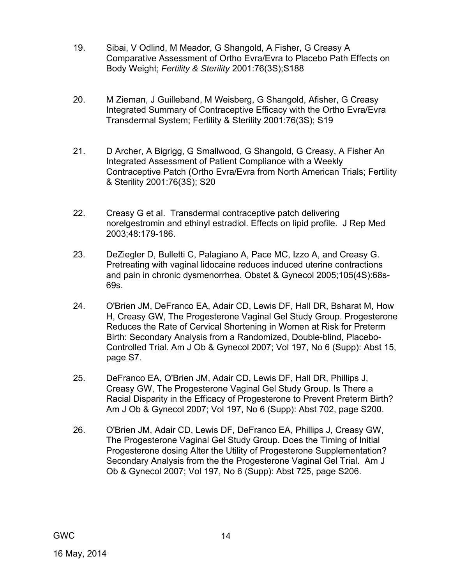- 19. Sibai, V Odlind, M Meador, G Shangold, A Fisher, G Creasy A Comparative Assessment of Ortho Evra/Evra to Placebo Path Effects on Body Weight; *Fertility & Sterility* 2001:76(3S);S188
- 20. M Zieman, J Guilleband, M Weisberg, G Shangold, Afisher, G Creasy Integrated Summary of Contraceptive Efficacy with the Ortho Evra/Evra Transdermal System; Fertility & Sterility 2001:76(3S); S19
- 21. D Archer, A Bigrigg, G Smallwood, G Shangold, G Creasy, A Fisher An Integrated Assessment of Patient Compliance with a Weekly Contraceptive Patch (Ortho Evra/Evra from North American Trials; Fertility & Sterility 2001:76(3S); S20
- 22. Creasy G et al. Transdermal contraceptive patch delivering norelgestromin and ethinyl estradiol. Effects on lipid profile. J Rep Med 2003;48:179-186.
- 23. DeZiegler D, Bulletti C, Palagiano A, Pace MC, Izzo A, and Creasy G. Pretreating with vaginal lidocaine reduces induced uterine contractions and pain in chronic dysmenorrhea. Obstet & Gynecol 2005;105(4S):68s-69s.
- 24. O'Brien JM, DeFranco EA, Adair CD, Lewis DF, Hall DR, Bsharat M, How H, Creasy GW, The Progesterone Vaginal Gel Study Group. Progesterone Reduces the Rate of Cervical Shortening in Women at Risk for Preterm Birth: Secondary Analysis from a Randomized, Double-blind, Placebo-Controlled Trial. Am J Ob & Gynecol 2007; Vol 197, No 6 (Supp): Abst 15, page S7.
- 25. DeFranco EA, O'Brien JM, Adair CD, Lewis DF, Hall DR, Phillips J, Creasy GW, The Progesterone Vaginal Gel Study Group. Is There a Racial Disparity in the Efficacy of Progesterone to Prevent Preterm Birth? Am J Ob & Gynecol 2007; Vol 197, No 6 (Supp): Abst 702, page S200.
- 26. O'Brien JM, Adair CD, Lewis DF, DeFranco EA, Phillips J, Creasy GW, The Progesterone Vaginal Gel Study Group. Does the Timing of Initial Progesterone dosing Alter the Utility of Progesterone Supplementation? Secondary Analysis from the the Progesterone Vaginal Gel Trial. Am J Ob & Gynecol 2007; Vol 197, No 6 (Supp): Abst 725, page S206.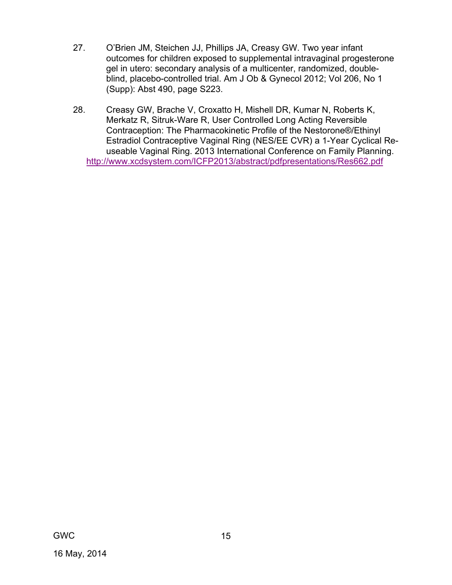- 27. O'Brien JM, Steichen JJ, Phillips JA, Creasy GW. Two year infant outcomes for children exposed to supplemental intravaginal progesterone gel in utero: secondary analysis of a multicenter, randomized, doubleblind, placebo-controlled trial. Am J Ob & Gynecol 2012; Vol 206, No 1 (Supp): Abst 490, page S223.
- 28. Creasy GW, Brache V, Croxatto H, Mishell DR, Kumar N, Roberts K, Merkatz R, Sitruk-Ware R, User Controlled Long Acting Reversible Contraception: The Pharmacokinetic Profile of the Nestorone®/Ethinyl Estradiol Contraceptive Vaginal Ring (NES/EE CVR) a 1-Year Cyclical Reuseable Vaginal Ring. 2013 International Conference on Family Planning. http://www.xcdsystem.com/ICFP2013/abstract/pdfpresentations/Res662.pdf